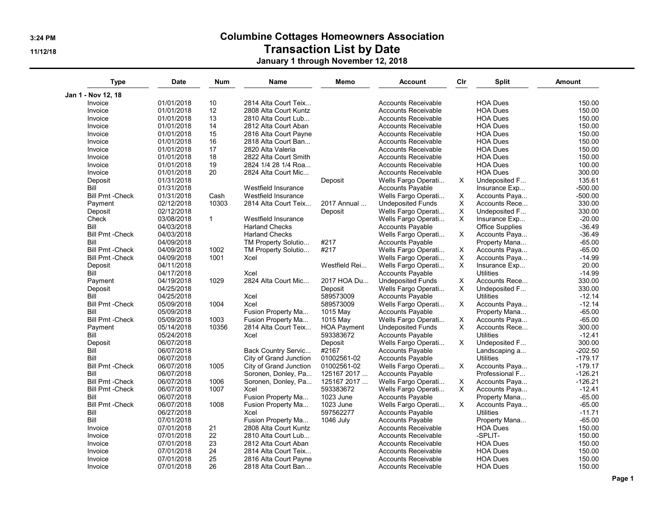## 3:24 PM Columbine Cottages Homeowners Association

## 11/12/18 Transaction List by Date

January 1 through November 12, 2018

| <b>Type</b>             | <b>Date</b> | <b>Num</b>   | <b>Name</b>                | Memo               | <b>Account</b>             | Cir      | <b>Split</b>           | <b>Amount</b> |
|-------------------------|-------------|--------------|----------------------------|--------------------|----------------------------|----------|------------------------|---------------|
| Jan 1 - Nov 12, 18      |             |              |                            |                    |                            |          |                        |               |
| Invoice                 | 01/01/2018  | 10           | 2814 Alta Court Teix       |                    | <b>Accounts Receivable</b> |          | <b>HOA Dues</b>        | 150.00        |
| Invoice                 | 01/01/2018  | 12           | 2808 Alta Court Kuntz      |                    | <b>Accounts Receivable</b> |          | <b>HOA Dues</b>        | 150.00        |
| Invoice                 | 01/01/2018  | 13           | 2810 Alta Court Lub        |                    | <b>Accounts Receivable</b> |          | <b>HOA Dues</b>        | 150.00        |
| Invoice                 | 01/01/2018  | 14           | 2812 Alta Court Aban       |                    | <b>Accounts Receivable</b> |          | <b>HOA Dues</b>        | 150.00        |
| Invoice                 | 01/01/2018  | 15           | 2816 Alta Court Payne      |                    | <b>Accounts Receivable</b> |          | <b>HOA Dues</b>        | 150.00        |
| Invoice                 | 01/01/2018  | 16           | 2818 Alta Court Ban        |                    | <b>Accounts Receivable</b> |          | <b>HOA Dues</b>        | 150.00        |
| Invoice                 | 01/01/2018  | 17           | 2820 Alta Valeria          |                    | <b>Accounts Receivable</b> |          | <b>HOA Dues</b>        | 150.00        |
| Invoice                 | 01/01/2018  | 18           | 2822 Alta Court Smith      |                    | <b>Accounts Receivable</b> |          | <b>HOA Dues</b>        | 150.00        |
| Invoice                 | 01/01/2018  | 19           | 2824 1/4 28 1/4 Roa        |                    | <b>Accounts Receivable</b> |          | <b>HOA Dues</b>        | 100.00        |
| Invoice                 | 01/01/2018  | 20           | 2824 Alta Court Mic        |                    | <b>Accounts Receivable</b> |          | <b>HOA Dues</b>        | 300.00        |
| Deposit                 | 01/31/2018  |              |                            | Deposit            | Wells Fargo Operati        | X        | Undeposited F          | 135.61        |
| Bill                    | 01/31/2018  |              | Westfield Insurance        |                    | <b>Accounts Payable</b>    |          | Insurance Exp          | $-500.00$     |
| <b>Bill Pmt - Check</b> | 01/31/2018  | Cash         | <b>Westfield Insurance</b> |                    | Wells Fargo Operati        | X        | Accounts Paya          | $-500.00$     |
| Payment                 | 02/12/2018  | 10303        | 2814 Alta Court Teix       | 2017 Annual        | <b>Undeposited Funds</b>   | X        | Accounts Rece          | 330.00        |
| Deposit                 | 02/12/2018  |              |                            | Deposit            | Wells Fargo Operati        | X        | Undeposited F          | 330.00        |
| Check                   | 03/08/2018  | $\mathbf{1}$ | Westfield Insurance        |                    | Wells Fargo Operati        | X        | Insurance Exp          | $-20.00$      |
| Bill                    | 04/03/2018  |              | <b>Harland Checks</b>      |                    | <b>Accounts Payable</b>    |          | <b>Office Supplies</b> | $-36.49$      |
| <b>Bill Pmt - Check</b> | 04/03/2018  |              | <b>Harland Checks</b>      |                    | Wells Fargo Operati        | X        | Accounts Paya          | $-36.49$      |
| Bill                    | 04/09/2018  |              | TM Property Solutio        | #217               | <b>Accounts Payable</b>    |          | Property Mana          | $-65.00$      |
| <b>Bill Pmt - Check</b> | 04/09/2018  | 1002         | TM Property Solutio        | #217               | Wells Fargo Operati        | X        | Accounts Paya          | $-65.00$      |
| <b>Bill Pmt - Check</b> | 04/09/2018  | 1001         | Xcel                       |                    | Wells Fargo Operati        | Χ        | Accounts Paya          | $-14.99$      |
| Deposit                 | 04/11/2018  |              |                            | Westfield Rei      | Wells Fargo Operati        | X        | Insurance Exp          | 20.00         |
| Bill                    | 04/17/2018  |              | Xcel                       |                    | Accounts Payable           |          | <b>Utilities</b>       | $-14.99$      |
| Payment                 | 04/19/2018  | 1029         | 2824 Alta Court Mic        | 2017 HOA Du        | <b>Undeposited Funds</b>   | Χ        | Accounts Rece          | 330.00        |
| Deposit                 | 04/25/2018  |              |                            | Deposit            | Wells Fargo Operati        | $\times$ | Undeposited F          | 330.00        |
| Bill                    | 04/25/2018  |              | Xcel                       | 589573009          | <b>Accounts Payable</b>    |          | <b>Utilities</b>       | $-12.14$      |
| <b>Bill Pmt - Check</b> | 05/09/2018  | 1004         | Xcel                       | 589573009          | Wells Fargo Operati        | $\times$ | Accounts Paya          | $-12.14$      |
| Bill                    | 05/09/2018  |              | Fusion Property Ma         | 1015 May           | <b>Accounts Payable</b>    |          | Property Mana          | $-65.00$      |
| <b>Bill Pmt - Check</b> | 05/09/2018  | 1003         | Fusion Property Ma         | 1015 May           | Wells Fargo Operati        | X        | Accounts Paya          | $-65.00$      |
| Payment                 | 05/14/2018  | 10356        | 2814 Alta Court Teix       | <b>HOA Payment</b> | <b>Undeposited Funds</b>   | X        | Accounts Rece          | 300.00        |
| Bill                    | 05/24/2018  |              | Xcel                       | 593383672          | <b>Accounts Payable</b>    |          | <b>Utilities</b>       | $-12.41$      |
| Deposit                 | 06/07/2018  |              |                            | Deposit            | Wells Fargo Operati        | X        | Undeposited F          | 300.00        |
| Bill                    | 06/07/2018  |              | Back Country Servic        | #2167              | <b>Accounts Payable</b>    |          | Landscaping a          | $-202.50$     |
| Bill                    | 06/07/2018  |              | City of Grand Junction     | 01002561-02        | <b>Accounts Payable</b>    |          | <b>Utilities</b>       | $-179.17$     |
| <b>Bill Pmt - Check</b> | 06/07/2018  | 1005         | City of Grand Junction     | 01002561-02        | Wells Fargo Operati        | X        | Accounts Paya          | $-179.17$     |
| Bill                    | 06/07/2018  |              | Soronen, Donley, Pa        | 125167 2017        | <b>Accounts Payable</b>    |          | Professional F         | $-126.21$     |
| <b>Bill Pmt - Check</b> | 06/07/2018  | 1006         | Soronen, Donley, Pa        | 125167 2017        | Wells Fargo Operati        | X        | Accounts Paya          | $-126.21$     |
| <b>Bill Pmt - Check</b> | 06/07/2018  | 1007         | Xcel                       | 593383672          | Wells Fargo Operati        | X        | Accounts Paya          | $-12.41$      |
| Bill                    | 06/07/2018  |              | Fusion Property Ma         | 1023 June          | Accounts Payable           |          | Property Mana          | $-65.00$      |
| <b>Bill Pmt - Check</b> | 06/07/2018  | 1008         | Fusion Property Ma         | 1023 June          | Wells Fargo Operati        | $\times$ | Accounts Paya          | $-65.00$      |
| Bill                    | 06/27/2018  |              | Xcel                       | 597562277          | <b>Accounts Payable</b>    |          | <b>Utilities</b>       | $-11.71$      |
| Bill                    | 07/01/2018  |              | Fusion Property Ma         | 1046 July          | <b>Accounts Payable</b>    |          | Property Mana          | $-65.00$      |
| Invoice                 | 07/01/2018  | 21           | 2808 Alta Court Kuntz      |                    | <b>Accounts Receivable</b> |          | <b>HOA Dues</b>        | 150.00        |
| Invoice                 | 07/01/2018  | 22           | 2810 Alta Court Lub        |                    | <b>Accounts Receivable</b> |          | -SPLIT-                | 150.00        |
| Invoice                 | 07/01/2018  | 23           | 2812 Alta Court Aban       |                    | <b>Accounts Receivable</b> |          | <b>HOA Dues</b>        | 150.00        |
| Invoice                 | 07/01/2018  | 24           | 2814 Alta Court Teix       |                    | <b>Accounts Receivable</b> |          | <b>HOA Dues</b>        | 150.00        |
| Invoice                 | 07/01/2018  | 25           | 2816 Alta Court Payne      |                    | <b>Accounts Receivable</b> |          | <b>HOA Dues</b>        | 150.00        |
| Invoice                 | 07/01/2018  | 26           | 2818 Alta Court Ban        |                    | <b>Accounts Receivable</b> |          | <b>HOA Dues</b>        | 150.00        |